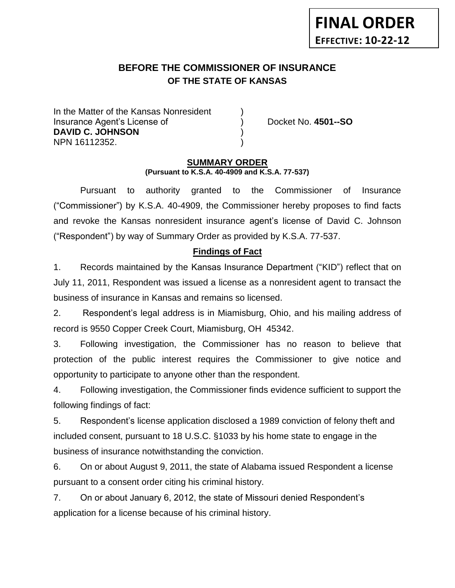# **BEFORE THE COMMISSIONER OF INSURANCE EFFECTIVE: 10-22-12** *-12*

**OF THE STATE OF KANSAS**

In the Matter of the Kansas Nonresident Insurance Agent's License of ) Docket No. **4501--SO DAVID C. JOHNSON** ) NPN 16112352. )

**FINAL ORDER**

#### **SUMMARY ORDER (Pursuant to K.S.A. 40-4909 and K.S.A. 77-537)**

Pursuant to authority granted to the Commissioner of Insurance ("Commissioner") by K.S.A. 40-4909, the Commissioner hereby proposes to find facts and revoke the Kansas nonresident insurance agent's license of David C. Johnson ("Respondent") by way of Summary Order as provided by K.S.A. 77-537.

## **Findings of Fact**

1. Records maintained by the Kansas Insurance Department ("KID") reflect that on July 11, 2011, Respondent was issued a license as a nonresident agent to transact the business of insurance in Kansas and remains so licensed.

2. Respondent's legal address is in Miamisburg, Ohio, and his mailing address of record is 9550 Copper Creek Court, Miamisburg, OH 45342.

3. Following investigation, the Commissioner has no reason to believe that protection of the public interest requires the Commissioner to give notice and opportunity to participate to anyone other than the respondent.

4. Following investigation, the Commissioner finds evidence sufficient to support the following findings of fact:

5. Respondent's license application disclosed a 1989 conviction of felony theft and included consent, pursuant to 18 U.S.C. §1033 by his home state to engage in the business of insurance notwithstanding the conviction.

6. On or about August 9, 2011, the state of Alabama issued Respondent a license pursuant to a consent order citing his criminal history.

7. On or about January 6, 2012, the state of Missouri denied Respondent's application for a license because of his criminal history.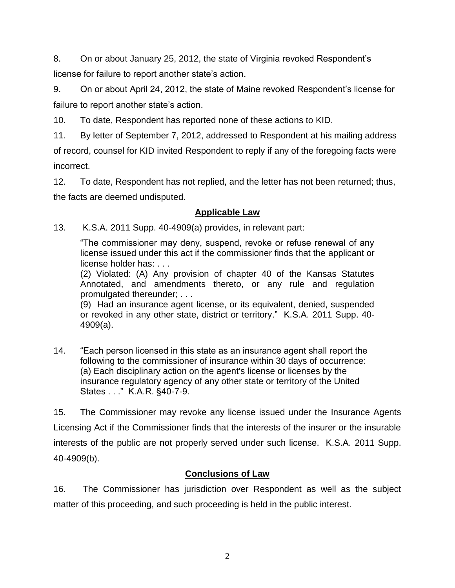8. On or about January 25, 2012, the state of Virginia revoked Respondent's license for failure to report another state's action.

9. On or about April 24, 2012, the state of Maine revoked Respondent's license for failure to report another state's action.

10. To date, Respondent has reported none of these actions to KID.

11. By letter of September 7, 2012, addressed to Respondent at his mailing address of record, counsel for KID invited Respondent to reply if any of the foregoing facts were incorrect.

12. To date, Respondent has not replied, and the letter has not been returned; thus, the facts are deemed undisputed.

# **Applicable Law**

13. K.S.A. 2011 Supp. 40-4909(a) provides, in relevant part:

"The commissioner may deny, suspend, revoke or refuse renewal of any license issued under this act if the commissioner finds that the applicant or license holder has: . . .

(2) Violated: (A) Any provision of chapter 40 of the Kansas Statutes Annotated, and amendments thereto, or any rule and regulation promulgated thereunder; . . .

(9) Had an insurance agent license, or its equivalent, denied, suspended or revoked in any other state, district or territory." K.S.A. 2011 Supp. 40- 4909(a).

14. "Each person licensed in this state as an insurance agent shall report the following to the commissioner of insurance within 30 days of occurrence: (a) Each disciplinary action on the agent's license or licenses by the insurance regulatory agency of any other state or territory of the United States . . ." K.A.R. §40-7-9.

15. The Commissioner may revoke any license issued under the Insurance Agents Licensing Act if the Commissioner finds that the interests of the insurer or the insurable interests of the public are not properly served under such license. K.S.A. 2011 Supp. 40-4909(b).

# **Conclusions of Law**

16. The Commissioner has jurisdiction over Respondent as well as the subject matter of this proceeding, and such proceeding is held in the public interest.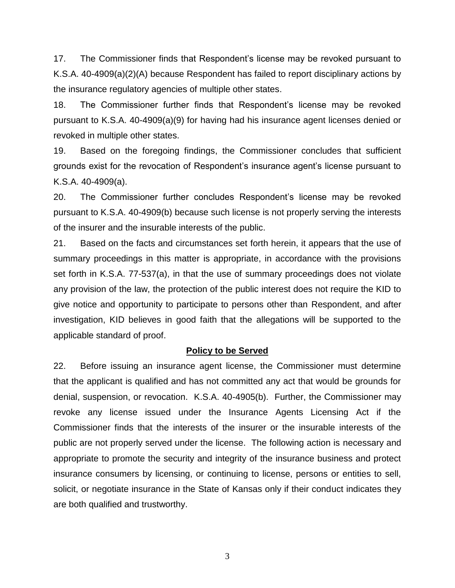17. The Commissioner finds that Respondent's license may be revoked pursuant to K.S.A. 40-4909(a)(2)(A) because Respondent has failed to report disciplinary actions by the insurance regulatory agencies of multiple other states.

18. The Commissioner further finds that Respondent's license may be revoked pursuant to K.S.A. 40-4909(a)(9) for having had his insurance agent licenses denied or revoked in multiple other states.

19. Based on the foregoing findings, the Commissioner concludes that sufficient grounds exist for the revocation of Respondent's insurance agent's license pursuant to K.S.A. 40-4909(a).

20. The Commissioner further concludes Respondent's license may be revoked pursuant to K.S.A. 40-4909(b) because such license is not properly serving the interests of the insurer and the insurable interests of the public.

21. Based on the facts and circumstances set forth herein, it appears that the use of summary proceedings in this matter is appropriate, in accordance with the provisions set forth in K.S.A. 77-537(a), in that the use of summary proceedings does not violate any provision of the law, the protection of the public interest does not require the KID to give notice and opportunity to participate to persons other than Respondent, and after investigation, KID believes in good faith that the allegations will be supported to the applicable standard of proof.

#### **Policy to be Served**

22. Before issuing an insurance agent license, the Commissioner must determine that the applicant is qualified and has not committed any act that would be grounds for denial, suspension, or revocation. K.S.A. 40-4905(b). Further, the Commissioner may revoke any license issued under the Insurance Agents Licensing Act if the Commissioner finds that the interests of the insurer or the insurable interests of the public are not properly served under the license. The following action is necessary and appropriate to promote the security and integrity of the insurance business and protect insurance consumers by licensing, or continuing to license, persons or entities to sell, solicit, or negotiate insurance in the State of Kansas only if their conduct indicates they are both qualified and trustworthy.

3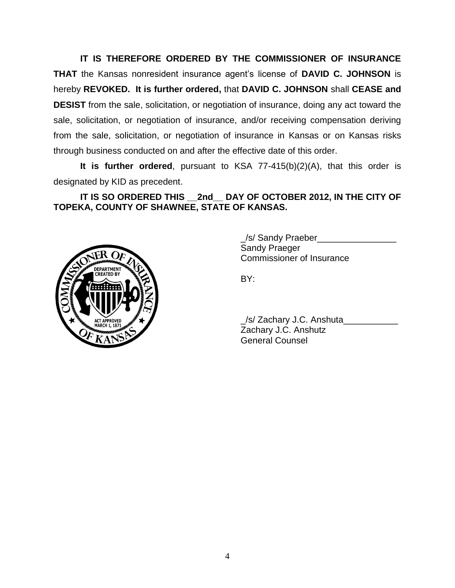**IT IS THEREFORE ORDERED BY THE COMMISSIONER OF INSURANCE THAT** the Kansas nonresident insurance agent's license of **DAVID C. JOHNSON** is hereby **REVOKED. It is further ordered,** that **DAVID C. JOHNSON** shall **CEASE and DESIST** from the sale, solicitation, or negotiation of insurance, doing any act toward the sale, solicitation, or negotiation of insurance, and/or receiving compensation deriving from the sale, solicitation, or negotiation of insurance in Kansas or on Kansas risks through business conducted on and after the effective date of this order.

**It is further ordered**, pursuant to KSA 77-415(b)(2)(A), that this order is designated by KID as precedent.

**IT IS SO ORDERED THIS \_\_2nd\_\_ DAY OF OCTOBER 2012, IN THE CITY OF TOPEKA, COUNTY OF SHAWNEE, STATE OF KANSAS.**



\_/s/ Sandy Praeber\_\_\_\_\_\_\_\_\_\_\_\_\_\_\_\_ Sandy Praeger Commissioner of Insurance

BY:

\_/s/ Zachary J.C. Anshuta\_\_\_\_\_\_\_\_\_\_\_ Zachary J.C. Anshutz General Counsel